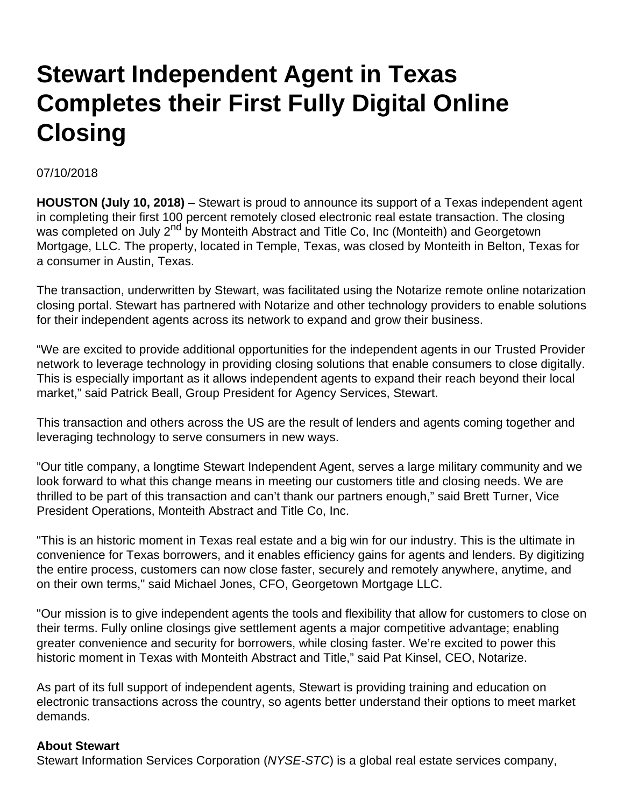## **Stewart Independent Agent in Texas Completes their First Fully Digital Online Closing**

07/10/2018

**HOUSTON (July 10, 2018)** – Stewart is proud to announce its support of a Texas independent agent in completing their first 100 percent remotely closed electronic real estate transaction. The closing was completed on July 2<sup>nd</sup> by Monteith Abstract and Title Co, Inc (Monteith) and Georgetown Mortgage, LLC. The property, located in Temple, Texas, was closed by Monteith in Belton, Texas for a consumer in Austin, Texas.

The transaction, underwritten by Stewart, was facilitated using the Notarize remote online notarization closing portal. Stewart has partnered with Notarize and other technology providers to enable solutions for their independent agents across its network to expand and grow their business.

"We are excited to provide additional opportunities for the independent agents in our Trusted Provider network to leverage technology in providing closing solutions that enable consumers to close digitally. This is especially important as it allows independent agents to expand their reach beyond their local market," said Patrick Beall, Group President for Agency Services, Stewart.

This transaction and others across the US are the result of lenders and agents coming together and leveraging technology to serve consumers in new ways.

"Our title company, a longtime Stewart Independent Agent, serves a large military community and we look forward to what this change means in meeting our customers title and closing needs. We are thrilled to be part of this transaction and can't thank our partners enough," said Brett Turner, Vice President Operations, Monteith Abstract and Title Co, Inc.

"This is an historic moment in Texas real estate and a big win for our industry. This is the ultimate in convenience for Texas borrowers, and it enables efficiency gains for agents and lenders. By digitizing the entire process, customers can now close faster, securely and remotely anywhere, anytime, and on their own terms," said Michael Jones, CFO, Georgetown Mortgage LLC.

"Our mission is to give independent agents the tools and flexibility that allow for customers to close on their terms. Fully online closings give settlement agents a major competitive advantage; enabling greater convenience and security for borrowers, while closing faster. We're excited to power this historic moment in Texas with Monteith Abstract and Title," said Pat Kinsel, CEO, Notarize.

As part of its full support of independent agents, Stewart is providing training and education on electronic transactions across the country, so agents better understand their options to meet market demands.

## **About Stewart**

Stewart Information Services Corporation (NYSE-STC) is a global real estate services company,